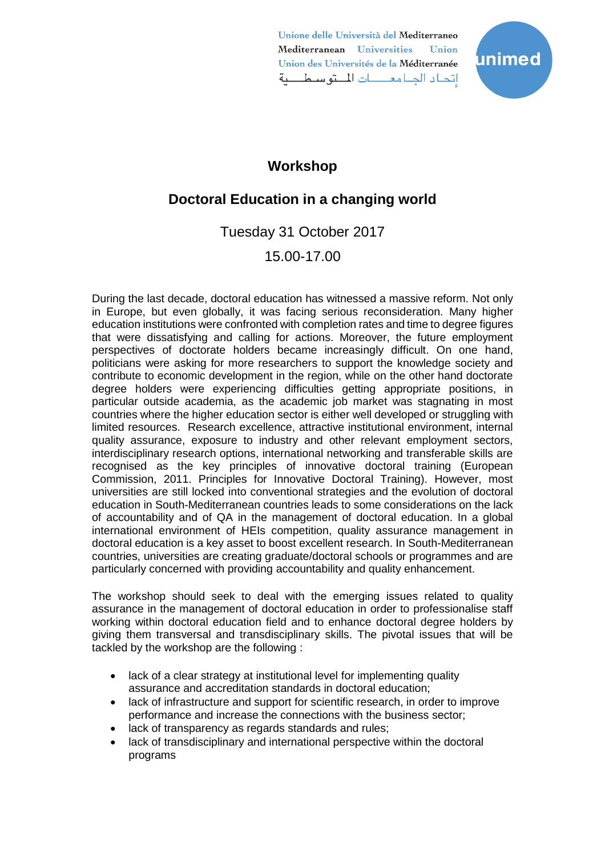Unione delle Università del Mediterraneo Mediterranean Universities **Union** Union des Universités de la Méditerranée اتحاد الجبامعات المتوسطية



## **Workshop**

# **Doctoral Education in a changing world**

Tuesday 31 October 2017

### 15.00-17.00

During the last decade, doctoral education has witnessed a massive reform. Not only in Europe, but even globally, it was facing serious reconsideration. Many higher education institutions were confronted with completion rates and time to degree figures that were dissatisfying and calling for actions. Moreover, the future employment perspectives of doctorate holders became increasingly difficult. On one hand, politicians were asking for more researchers to support the knowledge society and contribute to economic development in the region, while on the other hand doctorate degree holders were experiencing difficulties getting appropriate positions, in particular outside academia, as the academic job market was stagnating in most countries where the higher education sector is either well developed or struggling with limited resources. Research excellence, attractive institutional environment, internal quality assurance, exposure to industry and other relevant employment sectors, interdisciplinary research options, international networking and transferable skills are recognised as the key principles of innovative doctoral training (European Commission, 2011. Principles for Innovative Doctoral Training). However, most universities are still locked into conventional strategies and the evolution of doctoral education in South-Mediterranean countries leads to some considerations on the lack of accountability and of QA in the management of doctoral education. In a global international environment of HEIs competition, quality assurance management in doctoral education is a key asset to boost excellent research. In South-Mediterranean countries, universities are creating graduate/doctoral schools or programmes and are particularly concerned with providing accountability and quality enhancement.

The workshop should seek to deal with the emerging issues related to quality assurance in the management of doctoral education in order to professionalise staff working within doctoral education field and to enhance doctoral degree holders by giving them transversal and transdisciplinary skills. The pivotal issues that will be tackled by the workshop are the following :

- lack of a clear strategy at institutional level for implementing quality assurance and accreditation standards in doctoral education;
- lack of infrastructure and support for scientific research, in order to improve performance and increase the connections with the business sector;
- lack of transparency as regards standards and rules;
- lack of transdisciplinary and international perspective within the doctoral programs